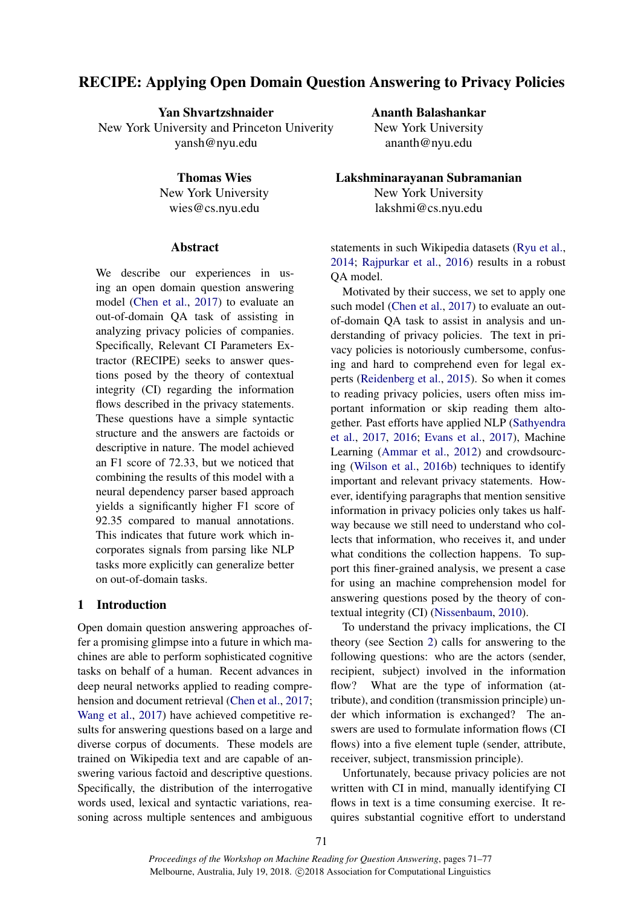# RECIPE: Applying Open Domain Question Answering to Privacy Policies

Yan Shvartzshnaider New York University and Princeton Univerity yansh@nyu.edu

> Thomas Wies New York University wies@cs.nyu.edu

### Abstract

We describe our experiences in using an open domain question answering model [\(Chen et al.,](#page-5-0) [2017\)](#page-5-0) to evaluate an out-of-domain QA task of assisting in analyzing privacy policies of companies. Specifically, Relevant CI Parameters Extractor (RECIPE) seeks to answer questions posed by the theory of contextual integrity (CI) regarding the information flows described in the privacy statements. These questions have a simple syntactic structure and the answers are factoids or descriptive in nature. The model achieved an F1 score of 72.33, but we noticed that combining the results of this model with a neural dependency parser based approach yields a significantly higher F1 score of 92.35 compared to manual annotations. This indicates that future work which incorporates signals from parsing like NLP tasks more explicitly can generalize better on out-of-domain tasks.

## 1 Introduction

Open domain question answering approaches offer a promising glimpse into a future in which machines are able to perform sophisticated cognitive tasks on behalf of a human. Recent advances in deep neural networks applied to reading comprehension and document retrieval [\(Chen et al.,](#page-5-0) [2017;](#page-5-0) [Wang et al.,](#page-6-0) [2017\)](#page-6-0) have achieved competitive results for answering questions based on a large and diverse corpus of documents. These models are trained on Wikipedia text and are capable of answering various factoid and descriptive questions. Specifically, the distribution of the interrogative words used, lexical and syntactic variations, reasoning across multiple sentences and ambiguous Ananth Balashankar

New York University ananth@nyu.edu

Lakshminarayanan Subramanian New York University lakshmi@cs.nyu.edu

statements in such Wikipedia datasets [\(Ryu et al.,](#page-5-1) [2014;](#page-5-1) [Rajpurkar et al.,](#page-5-2) [2016\)](#page-5-2) results in a robust QA model.

Motivated by their success, we set to apply one such model [\(Chen et al.,](#page-5-0) [2017\)](#page-5-0) to evaluate an outof-domain QA task to assist in analysis and understanding of privacy policies. The text in privacy policies is notoriously cumbersome, confusing and hard to comprehend even for legal experts [\(Reidenberg et al.,](#page-5-3) [2015\)](#page-5-3). So when it comes to reading privacy policies, users often miss important information or skip reading them altogether. Past efforts have applied NLP [\(Sathyendra](#page-5-4) [et al.,](#page-5-4) [2017,](#page-5-4) [2016;](#page-5-5) [Evans et al.,](#page-5-6) [2017\)](#page-5-6), Machine Learning [\(Ammar et al.,](#page-4-0) [2012\)](#page-4-0) and crowdsourcing [\(Wilson et al.,](#page-6-1) [2016b\)](#page-6-1) techniques to identify important and relevant privacy statements. However, identifying paragraphs that mention sensitive information in privacy policies only takes us halfway because we still need to understand who collects that information, who receives it, and under what conditions the collection happens. To support this finer-grained analysis, we present a case for using an machine comprehension model for answering questions posed by the theory of contextual integrity (CI) [\(Nissenbaum,](#page-5-7) [2010\)](#page-5-7).

To understand the privacy implications, the CI theory (see Section [2\)](#page-1-0) calls for answering to the following questions: who are the actors (sender, recipient, subject) involved in the information flow? What are the type of information (attribute), and condition (transmission principle) under which information is exchanged? The answers are used to formulate information flows (CI flows) into a five element tuple (sender, attribute, receiver, subject, transmission principle).

Unfortunately, because privacy policies are not written with CI in mind, manually identifying CI flows in text is a time consuming exercise. It requires substantial cognitive effort to understand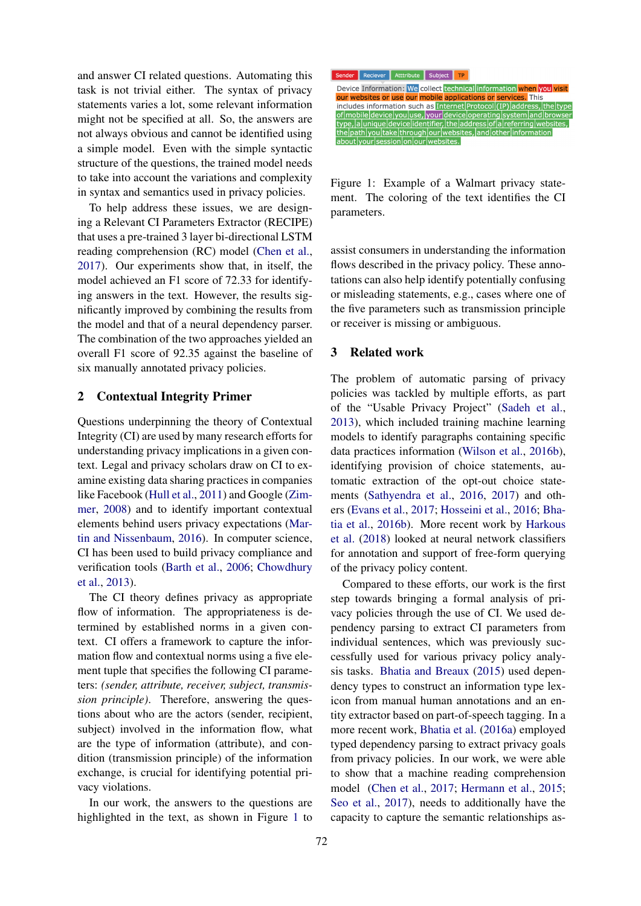and answer CI related questions. Automating this task is not trivial either. The syntax of privacy statements varies a lot, some relevant information might not be specified at all. So, the answers are not always obvious and cannot be identified using a simple model. Even with the simple syntactic structure of the questions, the trained model needs to take into account the variations and complexity in syntax and semantics used in privacy policies.

To help address these issues, we are designing a Relevant CI Parameters Extractor (RECIPE) that uses a pre-trained 3 layer bi-directional LSTM reading comprehension (RC) model [\(Chen et al.,](#page-5-0) [2017\)](#page-5-0). Our experiments show that, in itself, the model achieved an F1 score of 72.33 for identifying answers in the text. However, the results significantly improved by combining the results from the model and that of a neural dependency parser. The combination of the two approaches yielded an overall F1 score of 92.35 against the baseline of six manually annotated privacy policies.

## <span id="page-1-0"></span>2 Contextual Integrity Primer

Questions underpinning the theory of Contextual Integrity (CI) are used by many research efforts for understanding privacy implications in a given context. Legal and privacy scholars draw on CI to examine existing data sharing practices in companies like Facebook [\(Hull et al.,](#page-5-8) [2011\)](#page-5-8) and Google [\(Zim](#page-6-2)[mer,](#page-6-2) [2008\)](#page-6-2) and to identify important contextual elements behind users privacy expectations [\(Mar](#page-5-9)[tin and Nissenbaum,](#page-5-9) [2016\)](#page-5-9). In computer science, CI has been used to build privacy compliance and verification tools [\(Barth et al.,](#page-4-1) [2006;](#page-4-1) [Chowdhury](#page-5-10) [et al.,](#page-5-10) [2013\)](#page-5-10).

The CI theory defines privacy as appropriate flow of information. The appropriateness is determined by established norms in a given context. CI offers a framework to capture the information flow and contextual norms using a five element tuple that specifies the following CI parameters: *(sender, attribute, receiver, subject, transmission principle)*. Therefore, answering the questions about who are the actors (sender, recipient, subject) involved in the information flow, what are the type of information (attribute), and condition (transmission principle) of the information exchange, is crucial for identifying potential privacy violations.

In our work, the answers to the questions are highlighted in the text, as shown in Figure [1](#page-1-1) to



<span id="page-1-1"></span>Figure 1: Example of a Walmart privacy statement. The coloring of the text identifies the CI parameters.

assist consumers in understanding the information flows described in the privacy policy. These annotations can also help identify potentially confusing or misleading statements, e.g., cases where one of the five parameters such as transmission principle or receiver is missing or ambiguous.

### 3 Related work

The problem of automatic parsing of privacy policies was tackled by multiple efforts, as part of the "Usable Privacy Project" [\(Sadeh et al.,](#page-5-11) [2013\)](#page-5-11), which included training machine learning models to identify paragraphs containing specific data practices information [\(Wilson et al.,](#page-6-1) [2016b\)](#page-6-1), identifying provision of choice statements, automatic extraction of the opt-out choice statements [\(Sathyendra et al.,](#page-5-5) [2016,](#page-5-5) [2017\)](#page-5-4) and others [\(Evans et al.,](#page-5-6) [2017;](#page-5-6) [Hosseini et al.,](#page-5-12) [2016;](#page-5-12) [Bha](#page-4-2)[tia et al.,](#page-4-2) [2016b\)](#page-4-2). More recent work by [Harkous](#page-5-13) [et al.](#page-5-13) [\(2018\)](#page-5-13) looked at neural network classifiers for annotation and support of free-form querying of the privacy policy content.

Compared to these efforts, our work is the first step towards bringing a formal analysis of privacy policies through the use of CI. We used dependency parsing to extract CI parameters from individual sentences, which was previously successfully used for various privacy policy analysis tasks. [Bhatia and Breaux](#page-4-3) [\(2015\)](#page-4-3) used dependency types to construct an information type lexicon from manual human annotations and an entity extractor based on part-of-speech tagging. In a more recent work, [Bhatia et al.](#page-4-4) [\(2016a\)](#page-4-4) employed typed dependency parsing to extract privacy goals from privacy policies. In our work, we were able to show that a machine reading comprehension model [\(Chen et al.,](#page-5-0) [2017;](#page-5-0) [Hermann et al.,](#page-5-14) [2015;](#page-5-14) [Seo et al.,](#page-6-3) [2017\)](#page-6-3), needs to additionally have the capacity to capture the semantic relationships as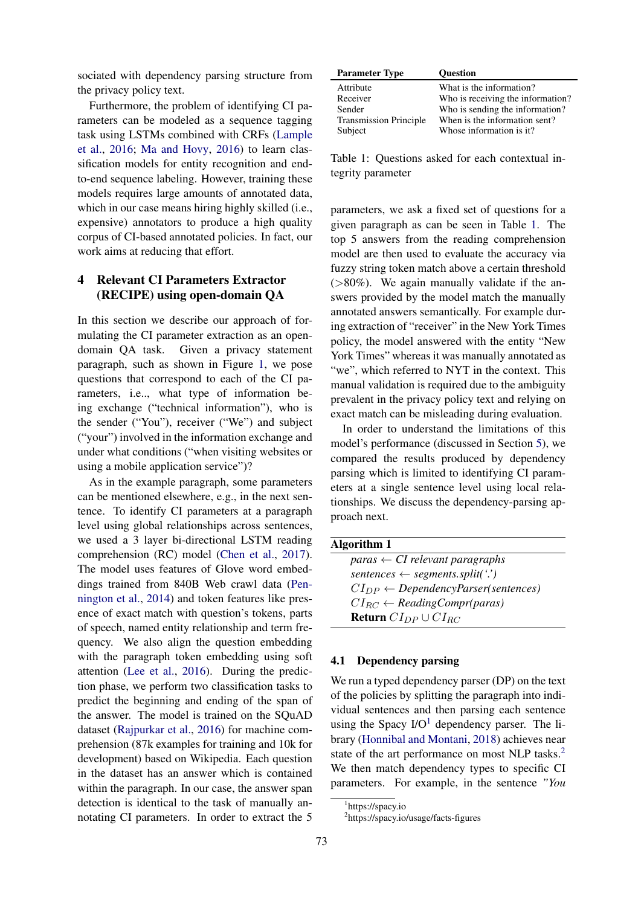sociated with dependency parsing structure from the privacy policy text.

Furthermore, the problem of identifying CI parameters can be modeled as a sequence tagging task using LSTMs combined with CRFs [\(Lample](#page-5-15) [et al.,](#page-5-15) [2016;](#page-5-15) [Ma and Hovy,](#page-5-16) [2016\)](#page-5-16) to learn classification models for entity recognition and endto-end sequence labeling. However, training these models requires large amounts of annotated data, which in our case means hiring highly skilled (i.e., expensive) annotators to produce a high quality corpus of CI-based annotated policies. In fact, our work aims at reducing that effort.

# 4 Relevant CI Parameters Extractor (RECIPE) using open-domain QA

In this section we describe our approach of formulating the CI parameter extraction as an opendomain QA task. Given a privacy statement paragraph, such as shown in Figure [1,](#page-1-1) we pose questions that correspond to each of the CI parameters, i.e.., what type of information being exchange ("technical information"), who is the sender ("You"), receiver ("We") and subject ("your") involved in the information exchange and under what conditions ("when visiting websites or using a mobile application service")?

As in the example paragraph, some parameters can be mentioned elsewhere, e.g., in the next sentence. To identify CI parameters at a paragraph level using global relationships across sentences, we used a 3 layer bi-directional LSTM reading comprehension (RC) model [\(Chen et al.,](#page-5-0) [2017\)](#page-5-0). The model uses features of Glove word embeddings trained from 840B Web crawl data [\(Pen](#page-5-17)[nington et al.,](#page-5-17) [2014\)](#page-5-17) and token features like presence of exact match with question's tokens, parts of speech, named entity relationship and term frequency. We also align the question embedding with the paragraph token embedding using soft attention [\(Lee et al.,](#page-5-18) [2016\)](#page-5-18). During the prediction phase, we perform two classification tasks to predict the beginning and ending of the span of the answer. The model is trained on the SQuAD dataset [\(Rajpurkar et al.,](#page-5-2) [2016\)](#page-5-2) for machine comprehension (87k examples for training and 10k for development) based on Wikipedia. Each question in the dataset has an answer which is contained within the paragraph. In our case, the answer span detection is identical to the task of manually annotating CI parameters. In order to extract the 5

| <b>Parameter Type</b>         | <b>Ouestion</b>                   |
|-------------------------------|-----------------------------------|
| Attribute                     | What is the information?          |
| Receiver                      | Who is receiving the information? |
| Sender                        | Who is sending the information?   |
| <b>Transmission Principle</b> | When is the information sent?     |
| Subject                       | Whose information is it?          |
|                               |                                   |

<span id="page-2-0"></span>Table 1: Questions asked for each contextual integrity parameter

parameters, we ask a fixed set of questions for a given paragraph as can be seen in Table [1.](#page-2-0) The top 5 answers from the reading comprehension model are then used to evaluate the accuracy via fuzzy string token match above a certain threshold  $(>\!\!80\%)$ . We again manually validate if the answers provided by the model match the manually annotated answers semantically. For example during extraction of "receiver" in the New York Times policy, the model answered with the entity "New York Times" whereas it was manually annotated as "we", which referred to NYT in the context. This manual validation is required due to the ambiguity prevalent in the privacy policy text and relying on exact match can be misleading during evaluation.

In order to understand the limitations of this model's performance (discussed in Section [5\)](#page-3-0), we compared the results produced by dependency parsing which is limited to identifying CI parameters at a single sentence level using local relationships. We discuss the dependency-parsing approach next.

| <b>Algorithm 1</b> |  |
|--------------------|--|
|                    |  |

<span id="page-2-3"></span>

| paras $\leftarrow$ CI relevant paragraphs        |
|--------------------------------------------------|
| $sentences \leftarrow segments.split('')$        |
| $CI_{DP} \leftarrow DependencyParser(sentences)$ |
| $CI_{BC} \leftarrow ReadingComp(\text{paras})$   |
| <b>Return</b> $CI_{DP} \cup CI_{BC}$             |

#### 4.1 Dependency parsing

We run a typed dependency parser (DP) on the text of the policies by splitting the paragraph into individual sentences and then parsing each sentence using the Spacy  $I/O<sup>1</sup>$  $I/O<sup>1</sup>$  $I/O<sup>1</sup>$  dependency parser. The library [\(Honnibal and Montani,](#page-5-19) [2018\)](#page-5-19) achieves near state of the art performance on most NLP tasks.<sup>[2](#page-2-2)</sup> We then match dependency types to specific CI parameters. For example, in the sentence *"You*

<span id="page-2-1"></span><sup>1</sup> https://spacy.io

<span id="page-2-2"></span><sup>2</sup> https://spacy.io/usage/facts-figures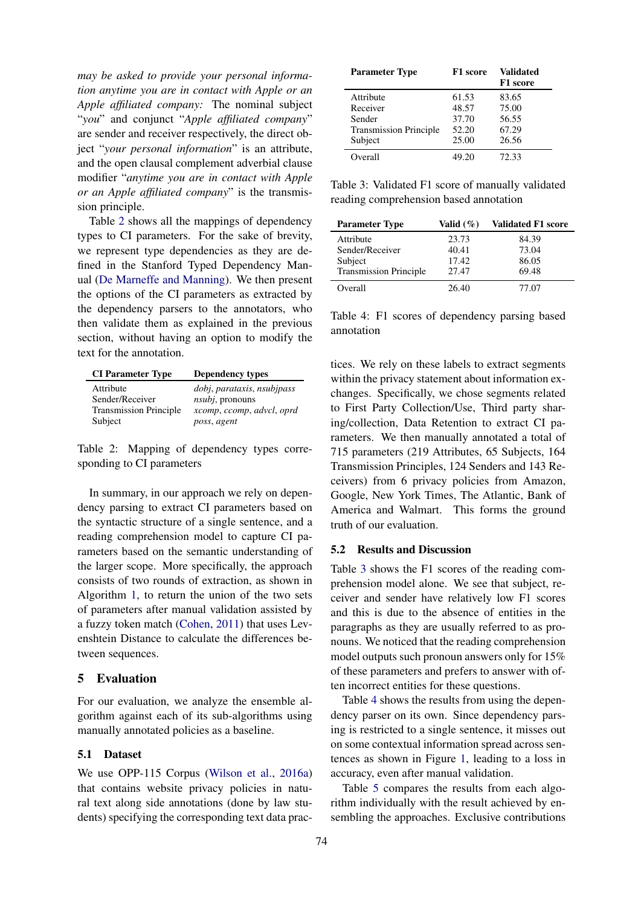*may be asked to provide your personal information anytime you are in contact with Apple or an Apple affiliated company:* The nominal subject "*you*" and conjunct "*Apple affiliated company*" are sender and receiver respectively, the direct object "*your personal information*" is an attribute, and the open clausal complement adverbial clause modifier "*anytime you are in contact with Apple or an Apple affiliated company*" is the transmission principle.

Table [2](#page-3-1) shows all the mappings of dependency types to CI parameters. For the sake of brevity, we represent type dependencies as they are defined in the Stanford Typed Dependency Manual [\(De Marneffe and Manning\)](#page-5-20). We then present the options of the CI parameters as extracted by the dependency parsers to the annotators, who then validate them as explained in the previous section, without having an option to modify the text for the annotation.

| <b>CI</b> Parameter Type      | Dependency types           |
|-------------------------------|----------------------------|
| Attribute                     | dobj, parataxis, nsubipass |
| Sender/Receiver               | <i>nsubj</i> , pronouns    |
| <b>Transmission Principle</b> | xcomp, ccomp, advcl, oprd  |
| Subject                       | poss, agent                |

<span id="page-3-1"></span>Table 2: Mapping of dependency types corresponding to CI parameters

In summary, in our approach we rely on dependency parsing to extract CI parameters based on the syntactic structure of a single sentence, and a reading comprehension model to capture CI parameters based on the semantic understanding of the larger scope. More specifically, the approach consists of two rounds of extraction, as shown in Algorithm [1,](#page-2-3) to return the union of the two sets of parameters after manual validation assisted by a fuzzy token match [\(Cohen,](#page-5-21) [2011\)](#page-5-21) that uses Levenshtein Distance to calculate the differences between sequences.

## <span id="page-3-0"></span>5 Evaluation

For our evaluation, we analyze the ensemble algorithm against each of its sub-algorithms using manually annotated policies as a baseline.

### 5.1 Dataset

We use OPP-115 Corpus [\(Wilson et al.,](#page-6-4) [2016a\)](#page-6-4) that contains website privacy policies in natural text along side annotations (done by law students) specifying the corresponding text data prac-

| <b>Parameter Type</b>         | F1 score | <b>Validated</b><br>F1 score |
|-------------------------------|----------|------------------------------|
| Attribute                     | 61.53    | 83.65                        |
| Receiver                      | 48.57    | 75.00                        |
| Sender                        | 37.70    | 56.55                        |
| <b>Transmission Principle</b> | 52.20    | 67.29                        |
| Subject                       | 25.00    | 26.56                        |
| Overall                       | 49.20    | 72.33                        |

<span id="page-3-2"></span>Table 3: Validated F1 score of manually validated reading comprehension based annotation

| <b>Parameter Type</b>         | Valid $(\%)$ | <b>Validated F1 score</b> |
|-------------------------------|--------------|---------------------------|
| Attribute                     | 23.73        | 84.39                     |
| Sender/Receiver               | 40.41        | 73.04                     |
| Subject                       | 17.42        | 86.05                     |
| <b>Transmission Principle</b> | 27.47        | 69.48                     |
| Overall                       | 26.40        | 77.07                     |

<span id="page-3-3"></span>Table 4: F1 scores of dependency parsing based annotation

tices. We rely on these labels to extract segments within the privacy statement about information exchanges. Specifically, we chose segments related to First Party Collection/Use, Third party sharing/collection, Data Retention to extract CI parameters. We then manually annotated a total of 715 parameters (219 Attributes, 65 Subjects, 164 Transmission Principles, 124 Senders and 143 Receivers) from 6 privacy policies from Amazon, Google, New York Times, The Atlantic, Bank of America and Walmart. This forms the ground truth of our evaluation.

#### 5.2 Results and Discussion

Table [3](#page-3-2) shows the F1 scores of the reading comprehension model alone. We see that subject, receiver and sender have relatively low F1 scores and this is due to the absence of entities in the paragraphs as they are usually referred to as pronouns. We noticed that the reading comprehension model outputs such pronoun answers only for 15% of these parameters and prefers to answer with often incorrect entities for these questions.

Table [4](#page-3-3) shows the results from using the dependency parser on its own. Since dependency parsing is restricted to a single sentence, it misses out on some contextual information spread across sentences as shown in Figure [1,](#page-1-1) leading to a loss in accuracy, even after manual validation.

Table [5](#page-4-5) compares the results from each algorithm individually with the result achieved by ensembling the approaches. Exclusive contributions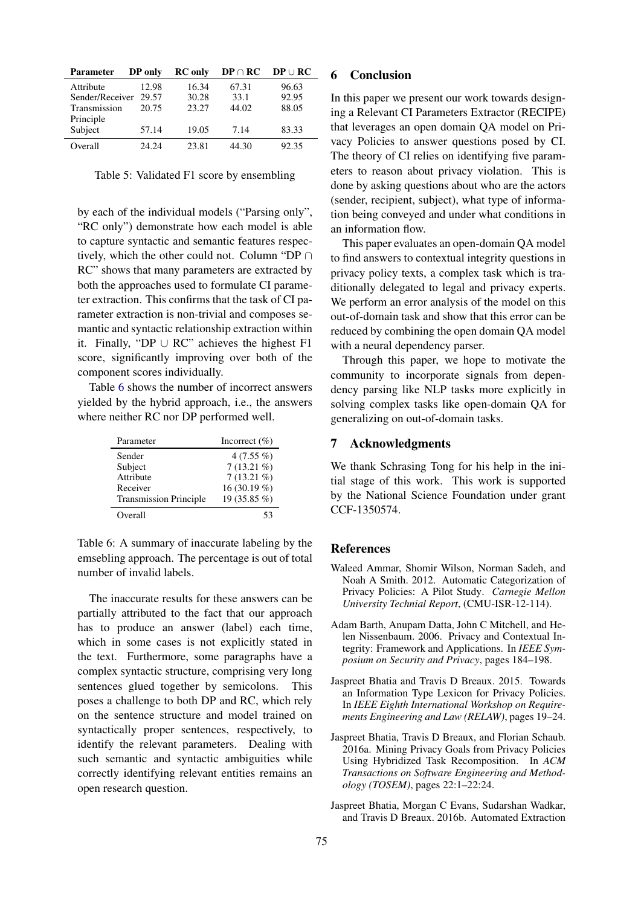| Parameter       | DP only | <b>RC</b> only | $DP \cap RC$ | $DP \cup RC$ |
|-----------------|---------|----------------|--------------|--------------|
| Attribute       | 12.98   | 16.34          | 67.31        | 96.63        |
| Sender/Receiver | 29.57   | 30.28          | 33.1         | 92.95        |
| Transmission    | 20.75   | 23.27          | 44.02        | 88.05        |
| Principle       |         |                |              |              |
| Subject         | 57.14   | 19.05          | 7.14         | 83.33        |
| Overall         | 24.24   | 23.81          | 44.30        | 92.35        |

<span id="page-4-5"></span>Table 5: Validated F1 score by ensembling

by each of the individual models ("Parsing only", "RC only") demonstrate how each model is able to capture syntactic and semantic features respectively, which the other could not. Column "DP ∩ RC" shows that many parameters are extracted by both the approaches used to formulate CI parameter extraction. This confirms that the task of CI parameter extraction is non-trivial and composes semantic and syntactic relationship extraction within it. Finally, "DP  $\cup$  RC" achieves the highest F1 score, significantly improving over both of the component scores individually.

Table [6](#page-4-6) shows the number of incorrect answers yielded by the hybrid approach, i.e., the answers where neither RC nor DP performed well.

| Parameter                     | Incorrect $(\% )$ |
|-------------------------------|-------------------|
| Sender                        | 4 $(7.55\%)$      |
| Subject                       | $7(13.21\%)$      |
| Attribute                     | $7(13.21\%)$      |
| Receiver                      | 16 (30.19 $%$ )   |
| <b>Transmission Principle</b> | 19 (35.85 %)      |
| Overall                       | 53                |

<span id="page-4-6"></span>Table 6: A summary of inaccurate labeling by the emsebling approach. The percentage is out of total number of invalid labels.

The inaccurate results for these answers can be partially attributed to the fact that our approach has to produce an answer (label) each time, which in some cases is not explicitly stated in the text. Furthermore, some paragraphs have a complex syntactic structure, comprising very long sentences glued together by semicolons. This poses a challenge to both DP and RC, which rely on the sentence structure and model trained on syntactically proper sentences, respectively, to identify the relevant parameters. Dealing with such semantic and syntactic ambiguities while correctly identifying relevant entities remains an open research question.

#### 6 Conclusion

In this paper we present our work towards designing a Relevant CI Parameters Extractor (RECIPE) that leverages an open domain QA model on Privacy Policies to answer questions posed by CI. The theory of CI relies on identifying five parameters to reason about privacy violation. This is done by asking questions about who are the actors (sender, recipient, subject), what type of information being conveyed and under what conditions in an information flow.

This paper evaluates an open-domain QA model to find answers to contextual integrity questions in privacy policy texts, a complex task which is traditionally delegated to legal and privacy experts. We perform an error analysis of the model on this out-of-domain task and show that this error can be reduced by combining the open domain QA model with a neural dependency parser.

Through this paper, we hope to motivate the community to incorporate signals from dependency parsing like NLP tasks more explicitly in solving complex tasks like open-domain QA for generalizing on out-of-domain tasks.

#### 7 Acknowledgments

We thank Schrasing Tong for his help in the initial stage of this work. This work is supported by the National Science Foundation under grant CCF-1350574.

#### **References**

- <span id="page-4-0"></span>Waleed Ammar, Shomir Wilson, Norman Sadeh, and Noah A Smith. 2012. Automatic Categorization of Privacy Policies: A Pilot Study. *Carnegie Mellon University Technial Report*, (CMU-ISR-12-114).
- <span id="page-4-1"></span>Adam Barth, Anupam Datta, John C Mitchell, and Helen Nissenbaum. 2006. Privacy and Contextual Integrity: Framework and Applications. In *IEEE Symposium on Security and Privacy*, pages 184–198.
- <span id="page-4-3"></span>Jaspreet Bhatia and Travis D Breaux. 2015. Towards an Information Type Lexicon for Privacy Policies. In *IEEE Eighth International Workshop on Requirements Engineering and Law (RELAW)*, pages 19–24.
- <span id="page-4-4"></span>Jaspreet Bhatia, Travis D Breaux, and Florian Schaub. 2016a. Mining Privacy Goals from Privacy Policies Using Hybridized Task Recomposition. In *ACM Transactions on Software Engineering and Methodology (TOSEM)*, pages 22:1–22:24.
- <span id="page-4-2"></span>Jaspreet Bhatia, Morgan C Evans, Sudarshan Wadkar, and Travis D Breaux. 2016b. Automated Extraction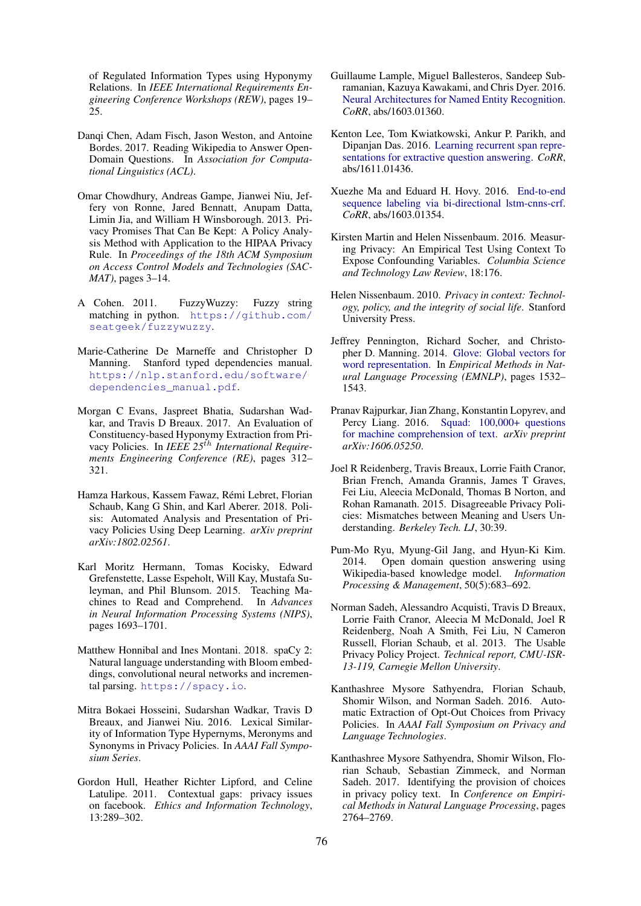of Regulated Information Types using Hyponymy Relations. In *IEEE International Requirements Engineering Conference Workshops (REW)*, pages 19– 25.

- <span id="page-5-0"></span>Danqi Chen, Adam Fisch, Jason Weston, and Antoine Bordes. 2017. Reading Wikipedia to Answer Open-Domain Questions. In *Association for Computational Linguistics (ACL)*.
- <span id="page-5-10"></span>Omar Chowdhury, Andreas Gampe, Jianwei Niu, Jeffery von Ronne, Jared Bennatt, Anupam Datta, Limin Jia, and William H Winsborough. 2013. Privacy Promises That Can Be Kept: A Policy Analysis Method with Application to the HIPAA Privacy Rule. In *Proceedings of the 18th ACM Symposium on Access Control Models and Technologies (SAC-MAT)*, pages 3–14.
- <span id="page-5-21"></span>A Cohen. 2011. FuzzyWuzzy: Fuzzy string matching in python. [https://github.com/](https://github.com/seatgeek/fuzzywuzzy) [seatgeek/fuzzywuzzy](https://github.com/seatgeek/fuzzywuzzy).
- <span id="page-5-20"></span>Marie-Catherine De Marneffe and Christopher D Manning. Stanford typed dependencies manual. [https://nlp.stanford.edu/software/](https://nlp.stanford.edu/software/dependencies_manual.pdf) [dependencies\\_manual.pdf](https://nlp.stanford.edu/software/dependencies_manual.pdf).
- <span id="page-5-6"></span>Morgan C Evans, Jaspreet Bhatia, Sudarshan Wadkar, and Travis D Breaux. 2017. An Evaluation of Constituency-based Hyponymy Extraction from Privacy Policies. In *IEEE 25*th *International Requirements Engineering Conference (RE)*, pages 312– 321.
- <span id="page-5-13"></span>Hamza Harkous, Kassem Fawaz, Rémi Lebret, Florian Schaub, Kang G Shin, and Karl Aberer. 2018. Polisis: Automated Analysis and Presentation of Privacy Policies Using Deep Learning. *arXiv preprint arXiv:1802.02561*.
- <span id="page-5-14"></span>Karl Moritz Hermann, Tomas Kocisky, Edward Grefenstette, Lasse Espeholt, Will Kay, Mustafa Suleyman, and Phil Blunsom. 2015. Teaching Machines to Read and Comprehend. In *Advances in Neural Information Processing Systems (NIPS)*, pages 1693–1701.
- <span id="page-5-19"></span>Matthew Honnibal and Ines Montani. 2018. spaCy 2: Natural language understanding with Bloom embeddings, convolutional neural networks and incremental parsing. <https://spacy.io>.
- <span id="page-5-12"></span>Mitra Bokaei Hosseini, Sudarshan Wadkar, Travis D Breaux, and Jianwei Niu. 2016. Lexical Similarity of Information Type Hypernyms, Meronyms and Synonyms in Privacy Policies. In *AAAI Fall Symposium Series*.
- <span id="page-5-8"></span>Gordon Hull, Heather Richter Lipford, and Celine Latulipe. 2011. Contextual gaps: privacy issues on facebook. *Ethics and Information Technology*, 13:289–302.
- <span id="page-5-15"></span>Guillaume Lample, Miguel Ballesteros, Sandeep Subramanian, Kazuya Kawakami, and Chris Dyer. 2016. [Neural Architectures for Named Entity Recognition.](http://arxiv.org/abs/1603.01360) *CoRR*, abs/1603.01360.
- <span id="page-5-18"></span>Kenton Lee, Tom Kwiatkowski, Ankur P. Parikh, and Dipanjan Das. 2016. [Learning recurrent span repre](http://arxiv.org/abs/1611.01436)[sentations for extractive question answering.](http://arxiv.org/abs/1611.01436) *CoRR*, abs/1611.01436.
- <span id="page-5-16"></span>Xuezhe Ma and Eduard H. Hovy. 2016. [End-to-end](http://arxiv.org/abs/1603.01354) [sequence labeling via bi-directional lstm-cnns-crf.](http://arxiv.org/abs/1603.01354) *CoRR*, abs/1603.01354.
- <span id="page-5-9"></span>Kirsten Martin and Helen Nissenbaum. 2016. Measuring Privacy: An Empirical Test Using Context To Expose Confounding Variables. *Columbia Science and Technology Law Review*, 18:176.
- <span id="page-5-7"></span>Helen Nissenbaum. 2010. *Privacy in context: Technology, policy, and the integrity of social life*. Stanford University Press.
- <span id="page-5-17"></span>Jeffrey Pennington, Richard Socher, and Christopher D. Manning. 2014. [Glove: Global vectors for](http://www.aclweb.org/anthology/D14-1162) [word representation.](http://www.aclweb.org/anthology/D14-1162) In *Empirical Methods in Natural Language Processing (EMNLP)*, pages 1532– 1543.
- <span id="page-5-2"></span>Pranav Rajpurkar, Jian Zhang, Konstantin Lopyrev, and Percy Liang. 2016. [Squad: 100,000+ questions](https://nlp.stanford.edu/pubs/rajpurkar2016squad.pdf) [for machine comprehension of text.](https://nlp.stanford.edu/pubs/rajpurkar2016squad.pdf) *arXiv preprint arXiv:1606.05250*.
- <span id="page-5-3"></span>Joel R Reidenberg, Travis Breaux, Lorrie Faith Cranor, Brian French, Amanda Grannis, James T Graves, Fei Liu, Aleecia McDonald, Thomas B Norton, and Rohan Ramanath. 2015. Disagreeable Privacy Policies: Mismatches between Meaning and Users Understanding. *Berkeley Tech. LJ*, 30:39.
- <span id="page-5-1"></span>Pum-Mo Ryu, Myung-Gil Jang, and Hyun-Ki Kim. 2014. Open domain question answering using Wikipedia-based knowledge model. *Information Processing & Management*, 50(5):683–692.
- <span id="page-5-11"></span>Norman Sadeh, Alessandro Acquisti, Travis D Breaux, Lorrie Faith Cranor, Aleecia M McDonald, Joel R Reidenberg, Noah A Smith, Fei Liu, N Cameron Russell, Florian Schaub, et al. 2013. The Usable Privacy Policy Project. *Technical report, CMU-ISR-13-119, Carnegie Mellon University*.
- <span id="page-5-5"></span>Kanthashree Mysore Sathyendra, Florian Schaub, Shomir Wilson, and Norman Sadeh. 2016. Automatic Extraction of Opt-Out Choices from Privacy Policies. In *AAAI Fall Symposium on Privacy and Language Technologies*.
- <span id="page-5-4"></span>Kanthashree Mysore Sathyendra, Shomir Wilson, Florian Schaub, Sebastian Zimmeck, and Norman Sadeh. 2017. Identifying the provision of choices in privacy policy text. In *Conference on Empirical Methods in Natural Language Processing*, pages 2764–2769.